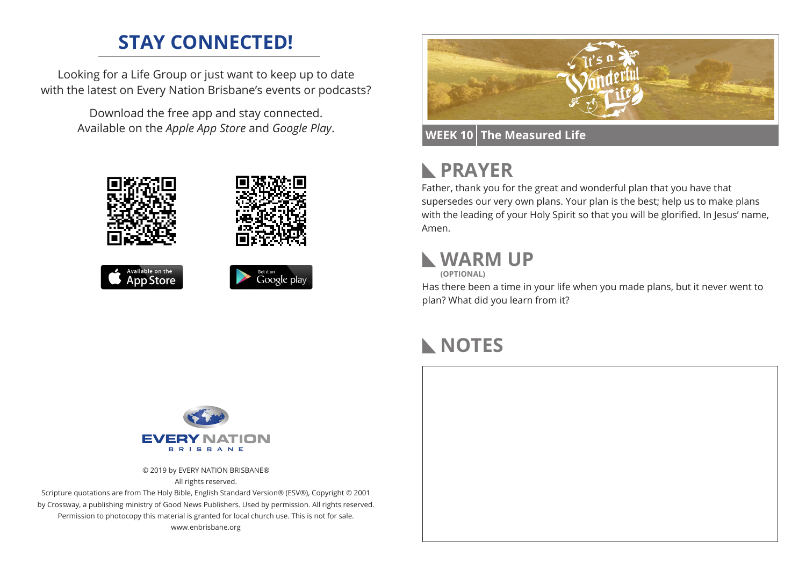### **STAY CONNECTED!**

Looking for a Life Group or just want to keep up to date with the latest on Every Nation Brisbane's events or podcasts?

> Download the free app and stay connected. Available on the *Apple App Store* and *Google Play*.





#### **WEEK 10 The Measured Life**

#### **PRAYER**  $\mathbb{R}$

Father, thank you for the great and wonderful plan that you have that supersedes our very own plans. Your plan is the best; help us to make plans with the leading of your Holy Spirit so that you will be glorified. In Jesus' name, Amen.

#### **WARM UP**

**(OPTIONAL)**

Has there been a time in your life when you made plans, but it never went to plan? What did you learn from it?

### **NOTES**



© 2019 by EVERY NATION BRISBANE® All rights reserved.

Scripture quotations are from The Holy Bible, English Standard Version® (ESV®), Copyright © 2001 by Crossway, a publishing ministry of Good News Publishers. Used by permission. All rights reserved. Permission to photocopy this material is granted for local church use. This is not for sale. www.enbrisbane.org